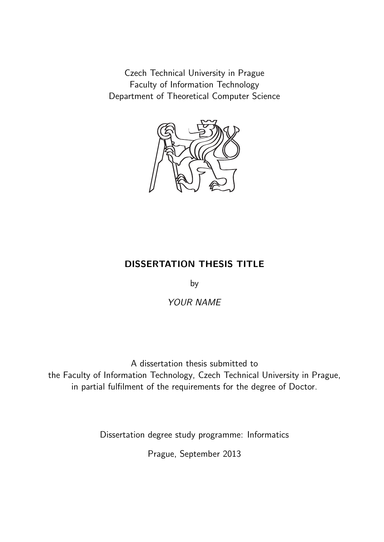Czech Technical University in Prague Faculty of Information Technology Department of Theoretical Computer Science



### DISSERTATION THESIS TITLE

by

YOUR NAME

A dissertation thesis submitted to the Faculty of Information Technology, Czech Technical University in Prague, in partial fulfilment of the requirements for the degree of Doctor.

Dissertation degree study programme: Informatics

Prague, September 2013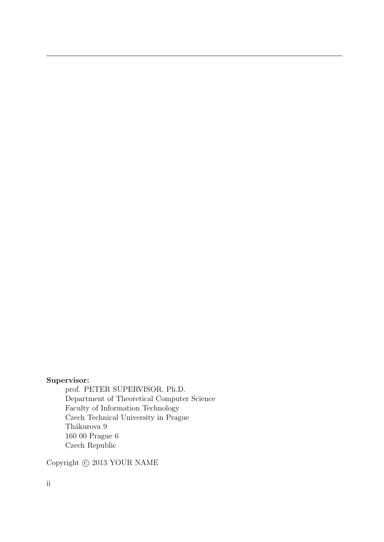### Supervisor:

prof. PETER SUPERVISOR, Ph.D. Department of Theoretical Computer Science Faculty of Information Technology Czech Technical University in Prague Thákurova 9 160 00 Prague 6 Czech Republic

Copyright  $\odot$  2013 YOUR NAME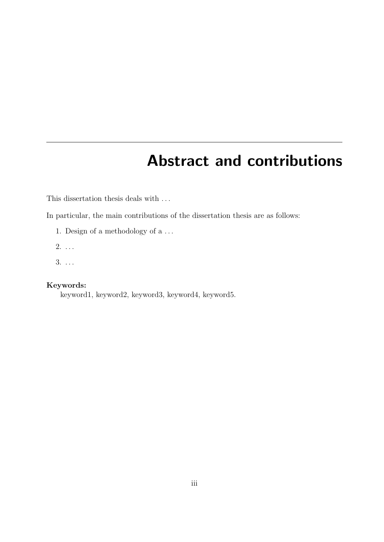## Abstract and contributions

This dissertation thesis deals with  $\ldots$ 

In particular, the main contributions of the dissertation thesis are as follows:

- 1. Design of a methodology of a . . .
- $2. \ldots$
- 3. . . .

### Keywords:

keyword1, keyword2, keyword3, keyword4, keyword5.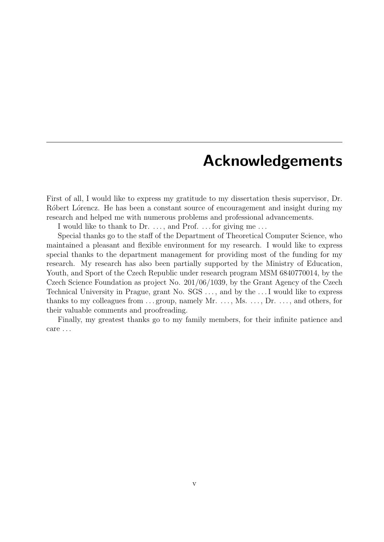## Acknowledgements

First of all, I would like to express my gratitude to my dissertation thesis supervisor, Dr. Róbert Lórencz. He has been a constant source of encouragement and insight during my research and helped me with numerous problems and professional advancements.

I would like to thank to Dr. . . . , and Prof. . . . for giving me . . .

Special thanks go to the staff of the Department of Theoretical Computer Science, who maintained a pleasant and flexible environment for my research. I would like to express special thanks to the department management for providing most of the funding for my research. My research has also been partially supported by the Ministry of Education, Youth, and Sport of the Czech Republic under research program MSM 6840770014, by the Czech Science Foundation as project No. 201/06/1039, by the Grant Agency of the Czech Technical University in Prague, grant No. SGS . . . , and by the . . . I would like to express thanks to my colleagues from  $\dots$  group, namely Mr.  $\dots$ , Ms.  $\dots$ , Dr.  $\dots$ , and others, for their valuable comments and proofreading.

Finally, my greatest thanks go to my family members, for their infinite patience and care . . .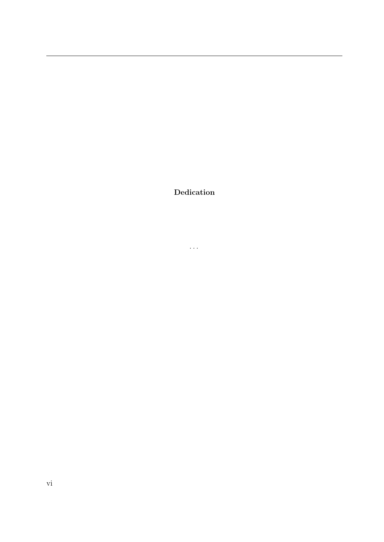Dedication

 $\ldots$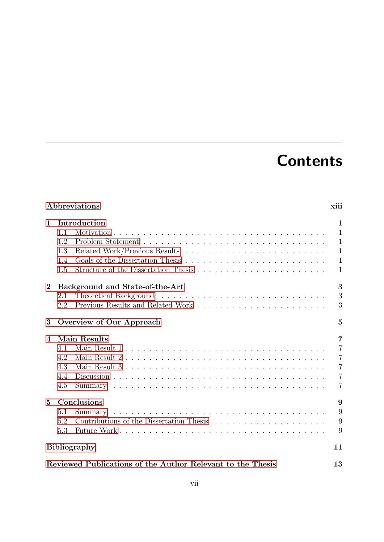# **Contents**

|                 | Abbreviations                                              | xiii           |
|-----------------|------------------------------------------------------------|----------------|
| $\mathbf{1}$    | Introduction                                               | 1              |
|                 | 1.1                                                        | $\mathbf{1}$   |
|                 | 1.2                                                        | $\mathbf{1}$   |
|                 | 1.3                                                        | $\mathbf{1}$   |
|                 | 1.4                                                        | $\mathbf{1}$   |
|                 | 1.5                                                        | $\mathbf{1}$   |
| $\bf{2}$        | Background and State-of-the-Art                            | 3              |
|                 | 2.1                                                        | 3              |
|                 | 2.2                                                        | 3              |
| 3               | Overview of Our Approach                                   | $\overline{5}$ |
| 4               | Main Results                                               | $\overline{7}$ |
|                 | 4.1                                                        | $\overline{7}$ |
|                 | 4.2                                                        | $\overline{7}$ |
|                 | 4.3                                                        | $\overline{7}$ |
|                 | 4.4                                                        | $\overline{7}$ |
|                 | 4.5                                                        | $\overline{7}$ |
| $5\overline{)}$ | Conclusions                                                | 9              |
|                 | 5.1<br>Summary                                             | 9              |
|                 | Contributions of the Dissertation Thesis<br>5.2            | 9              |
|                 | 5.3                                                        | 9              |
|                 | <b>Bibliography</b>                                        | 11             |
|                 | Reviewed Publications of the Author Relevant to the Thesis | 13             |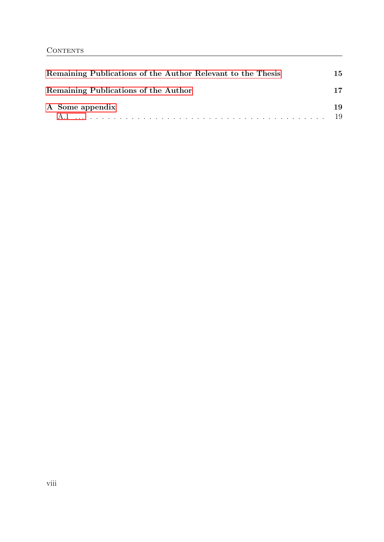| Remaining Publications of the Author Relevant to the Thesis | 15        |
|-------------------------------------------------------------|-----------|
| Remaining Publications of the Author                        | 17        |
| A Some appendix                                             | 19<br>-19 |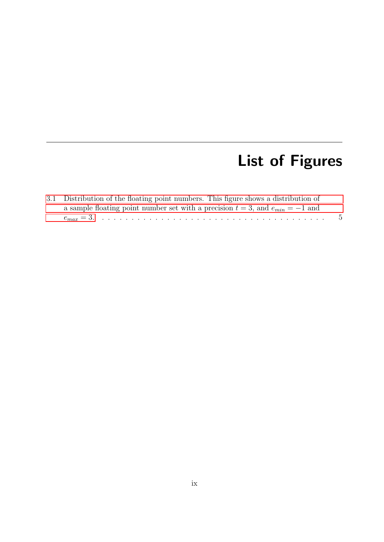# List of Figures

| 3.1 Distribution of the floating point numbers. This figure shows a distribution of  |  |
|--------------------------------------------------------------------------------------|--|
| a sample floating point number set with a precision $t = 3$ , and $e_{min} = -1$ and |  |
|                                                                                      |  |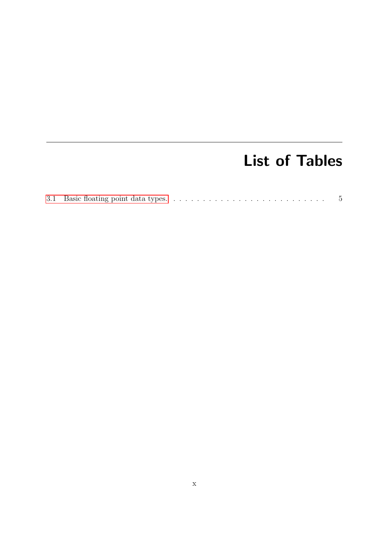## List of Tables

|--|--|--|--|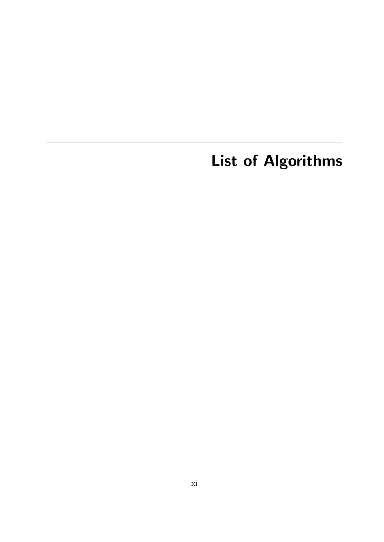List of Algorithms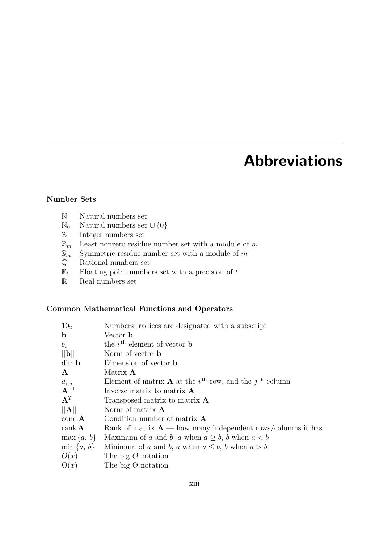## Abbreviations

### <span id="page-12-0"></span>Number Sets

- N Natural numbers set
- N<sub>0</sub> Natural numbers set ∪ $\{0\}$
- Z Integer numbers set
- $\mathbb{Z}_m$  . Least nonzero residue number set with a module of  $m$
- $\mathbb{S}_m$  Symmetric residue number set with a module of m
- Q Rational numbers set
- $\mathbb{F}_t$  Floating point numbers set with a precision of  $t$
- R Real numbers set

### Common Mathematical Functions and Operators

| 10 <sub>2</sub>         | Numbers' radices are designated with a subscript                                                    |
|-------------------------|-----------------------------------------------------------------------------------------------------|
| $\mathbf b$             | Vector <b>b</b>                                                                                     |
| $b_i$                   | the $i^{\text{th}}$ element of vector <b>b</b>                                                      |
| $  \mathbf{b}  $        | Norm of vector <b>b</b>                                                                             |
| $\dim \mathbf{b}$       | Dimension of vector <b>b</b>                                                                        |
| $\mathbf{A}$            | Matrix <b>A</b>                                                                                     |
| $a_{i,j}$               | Element of matrix <b>A</b> at the <i>i</i> <sup>th</sup> row, and the <i>j</i> <sup>th</sup> column |
| $A^{-1}$                | Inverse matrix to matrix $\bf{A}$                                                                   |
| ${\bf A}^T$             | Transposed matrix to matrix A                                                                       |
| A                       | Norm of matrix $\bf{A}$                                                                             |
| $\operatorname{cond} A$ | Condition number of matrix $\bf{A}$                                                                 |
| rank $\bf{A}$           | Rank of matrix $A$ — how many independent rows/columns it has                                       |
| $\max\{a, b\}$          | Maximum of a and b, a when $a \geq b$ , b when $a < b$                                              |
| $\min\{a, b\}$          | Minimum of a and b, a when $a \leq b$ , b when $a > b$                                              |
| O(x)                    | The big $O$ notation                                                                                |
| $\Theta(x)$             | The big $\Theta$ notation                                                                           |
|                         |                                                                                                     |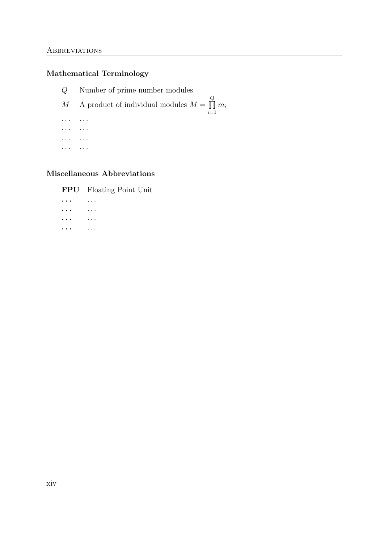### Mathematical Terminology

Q Number of prime number modules M A product of individual modules  $M = \prod$ Q  $i=1$  $m_i$ . . . . . . . . . . . . . . . . . . . . . . . .

### Miscellaneous Abbreviations

FPU Floating Point Unit

. . . . . . . . . . . . . . . . . . . . . . . .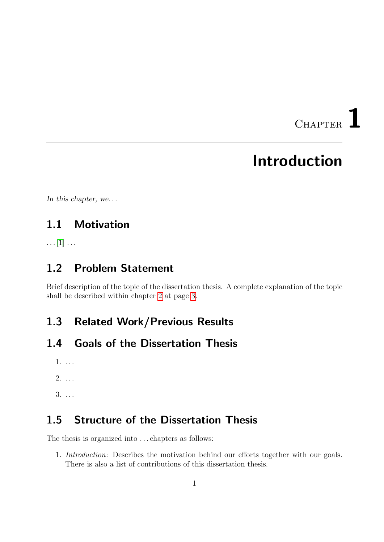CHAPTER

## Introduction

<span id="page-14-0"></span>In this chapter, we...

## <span id="page-14-1"></span>1.1 Motivation

 $\ldots$  [\[1\]](#page-28-1)  $\ldots$ 

### <span id="page-14-2"></span>1.2 Problem Statement

Brief description of the topic of the dissertation thesis. A complete explanation of the topic shall be described within chapter [2](#page-16-0) at page [3.](#page-16-0)

## <span id="page-14-3"></span>1.3 Related Work/Previous Results

### <span id="page-14-4"></span>1.4 Goals of the Dissertation Thesis

- 1. . . .
- $2. \ldots$
- 3. . . .

### <span id="page-14-5"></span>1.5 Structure of the Dissertation Thesis

The thesis is organized into . . . chapters as follows:

1. Introduction: Describes the motivation behind our efforts together with our goals. There is also a list of contributions of this dissertation thesis.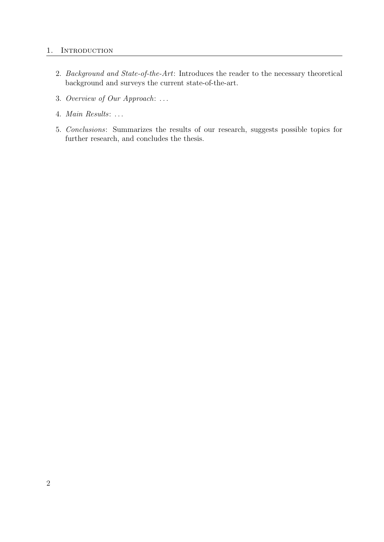#### 1. INTRODUCTION

- 2. Background and State-of-the-Art: Introduces the reader to the necessary theoretical background and surveys the current state-of-the-art.
- 3. Overview of Our Approach: . . .
- 4. Main Results: . . .
- 5. Conclusions: Summarizes the results of our research, suggests possible topics for further research, and concludes the thesis.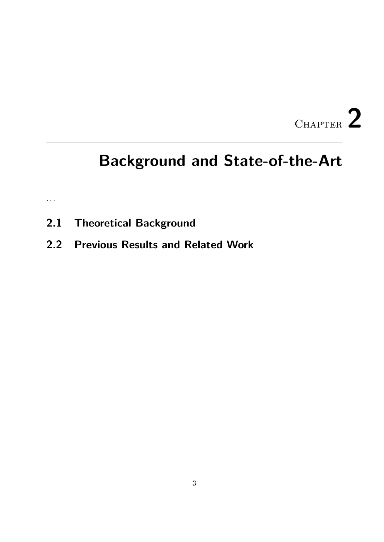# CHAPTER 2

## <span id="page-16-0"></span>Background and State-of-the-Art

. . .

- <span id="page-16-1"></span>2.1 Theoretical Background
- <span id="page-16-2"></span>2.2 Previous Results and Related Work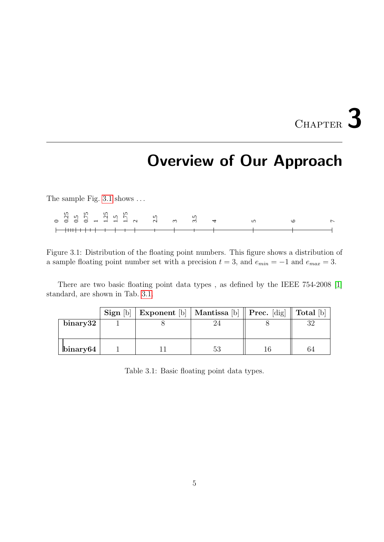# CHAPTER 3

## Overview of Our Approach

<span id="page-18-0"></span>The sample Fig. [3.1](#page-18-1) shows ...

|  |  |  |  | $0$ $0.55$ $0.75$ $0.75$ $1.15$ $2.5$ $1.15$ $3.5$ $3.5$ $3.5$ $3.5$ $3.5$ $3.5$ $3.5$ $3.5$ $3.5$ $3.5$ $3.5$ $3.5$ $3.5$ $3.5$ $3.5$ $3.5$ $3.5$ $3.5$ $3.5$ $3.5$ $3.5$ $3.5$ $3.5$ $3.5$ $3.5$ $3.5$ $3.5$ $3.5$ $3.5$ $3$ |  | $\sim$ $\sim$ |  |
|--|--|--|--|--------------------------------------------------------------------------------------------------------------------------------------------------------------------------------------------------------------------------------|--|---------------|--|
|  |  |  |  |                                                                                                                                                                                                                                |  |               |  |
|  |  |  |  |                                                                                                                                                                                                                                |  |               |  |

<span id="page-18-1"></span>Figure 3.1: Distribution of the floating point numbers. This figure shows a distribution of a sample floating point number set with a precision  $t = 3$ , and  $e_{min} = -1$  and  $e_{max} = 3$ .

There are two basic floating point data types , as defined by the IEEE 754-2008 [\[1\]](#page-24-1) standard, are shown in Tab. [3.1.](#page-18-2)

<span id="page-18-2"></span>

|                  | Sign [b] | Exponent [b]   Mantissa [b]    Prec. [dig]    Total [b] |  |  |
|------------------|----------|---------------------------------------------------------|--|--|
| $\,$ binary $32$ |          |                                                         |  |  |
| $\binom{1}{1}$   |          |                                                         |  |  |

Table 3.1: Basic floating point data types.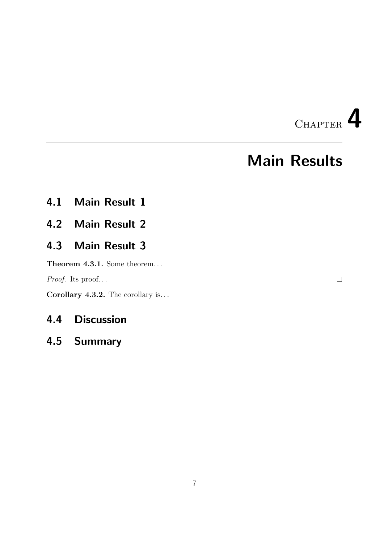

## Main Results

- <span id="page-20-1"></span><span id="page-20-0"></span>4.1 Main Result 1
- <span id="page-20-2"></span>4.2 Main Result 2

## <span id="page-20-3"></span>4.3 Main Result 3

Theorem 4.3.1. Some theorem...

Proof. Its proof...

Corollary 4.3.2. The corollary is...

### <span id="page-20-4"></span>4.4 Discussion

### <span id="page-20-5"></span>4.5 Summary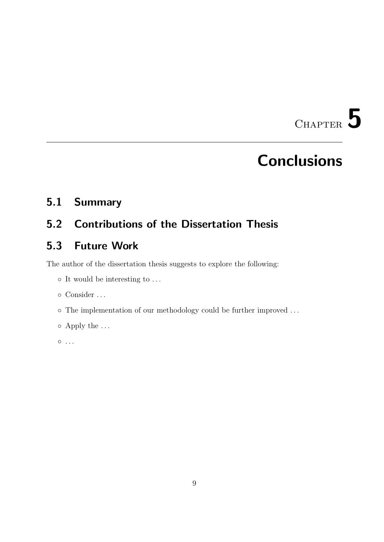CHAPTER 5

## **Conclusions**

## <span id="page-22-1"></span><span id="page-22-0"></span>5.1 Summary

## <span id="page-22-2"></span>5.2 Contributions of the Dissertation Thesis

## <span id="page-22-3"></span>5.3 Future Work

The author of the dissertation thesis suggests to explore the following:

- It would be interesting to . . .
- Consider . . .
- The implementation of our methodology could be further improved . . .
- Apply the . . .

 $\circ \dots$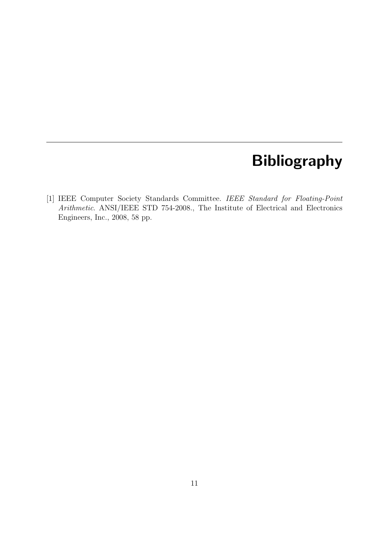## Bibliography

<span id="page-24-1"></span><span id="page-24-0"></span>[1] IEEE Computer Society Standards Committee. IEEE Standard for Floating-Point Arithmetic. ANSI/IEEE STD 754-2008., The Institute of Electrical and Electronics Engineers, Inc., 2008, 58 pp.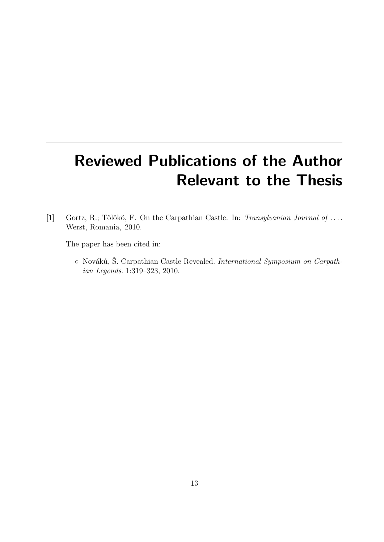# Reviewed Publications of the Author Relevant to the Thesis

<span id="page-26-0"></span>[1] Gortz, R.; Tölökö, F. On the Carpathian Castle. In: Transylvanian Journal of .... Werst, Romania, 2010.

The paper has been cited in:

o Nováků, Š. Carpathian Castle Revealed. International Symposium on Carpathian Legends. 1:319–323, 2010.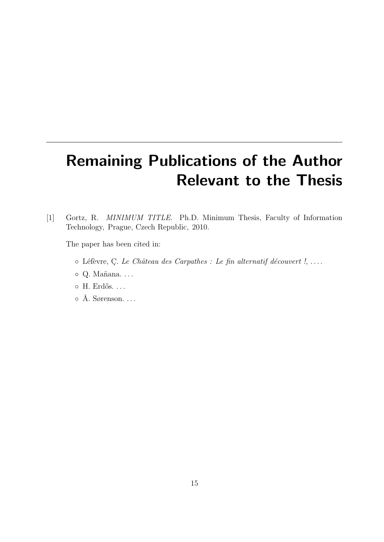# **Remaining Publications of the Author Relevant to the Thesis**

<span id="page-28-1"></span><span id="page-28-0"></span> $\lceil 1 \rceil$ Gortz, R. MINIMUM TITLE. Ph.D. Minimum Thesis, Faculty of Information Technology, Prague, Czech Republic, 2010.

The paper has been cited in:

- o Léfèvre, C. Le Château des Carpathes : Le fin alternatif découvert !, ...
- o Q. Mañana....
- o H. Erdős. ...
- $\circ$  Å. Sørenson...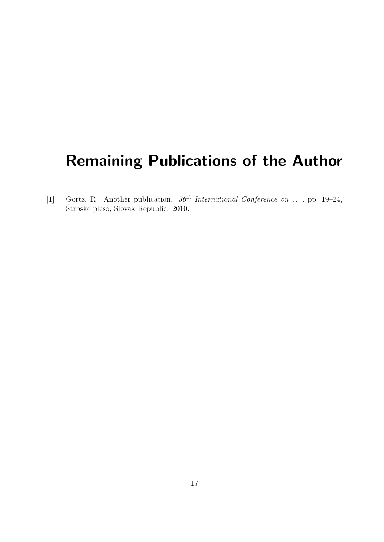## Remaining Publications of the Author

<span id="page-30-0"></span>[1] Gortz, R. Another publication.  $36<sup>th</sup> International Conference on ... pp. 19-24$ , Štrbské pleso, Slovak Republic, 2010.